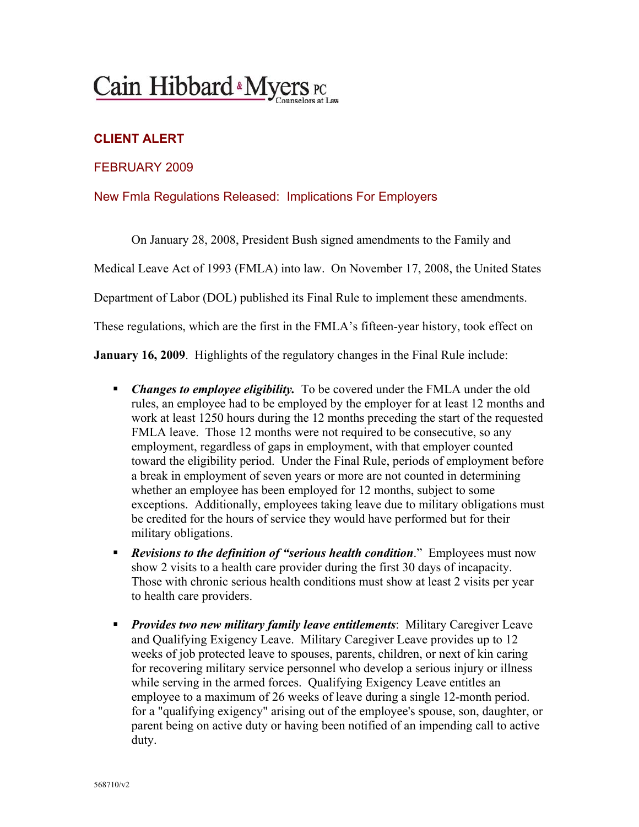## Cain Hibbard Myers PC

## **CLIENT ALERT**

## FEBRUARY 2009

## New Fmla Regulations Released: Implications For Employers

On January 28, 2008, President Bush signed amendments to the Family and

Medical Leave Act of 1993 (FMLA) into law. On November 17, 2008, the United States

Department of Labor (DOL) published its Final Rule to implement these amendments.

These regulations, which are the first in the FMLA's fifteen-year history, took effect on

**January 16, 2009**. Highlights of the regulatory changes in the Final Rule include:

- *Changes to employee eligibility.* To be covered under the FMLA under the old rules, an employee had to be employed by the employer for at least 12 months and work at least 1250 hours during the 12 months preceding the start of the requested FMLA leave. Those 12 months were not required to be consecutive, so any employment, regardless of gaps in employment, with that employer counted toward the eligibility period. Under the Final Rule, periods of employment before a break in employment of seven years or more are not counted in determining whether an employee has been employed for 12 months, subject to some exceptions. Additionally, employees taking leave due to military obligations must be credited for the hours of service they would have performed but for their military obligations.
- *Revisions to the definition of "serious health condition*." Employees must now show 2 visits to a health care provider during the first 30 days of incapacity. Those with chronic serious health conditions must show at least 2 visits per year to health care providers.
- **Provides two new military family leave entitlements**: Military Caregiver Leave and Qualifying Exigency Leave. Military Caregiver Leave provides up to 12 weeks of job protected leave to spouses, parents, children, or next of kin caring for recovering military service personnel who develop a serious injury or illness while serving in the armed forces. Qualifying Exigency Leave entitles an employee to a maximum of 26 weeks of leave during a single 12-month period. for a "qualifying exigency" arising out of the employee's spouse, son, daughter, or parent being on active duty or having been notified of an impending call to active duty.